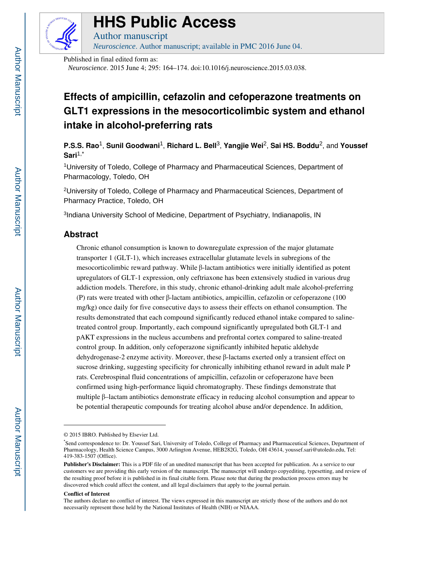

# **HHS Public Access**

Author manuscript *Neuroscience*. Author manuscript; available in PMC 2016 June 04.

Published in final edited form as:

*Neuroscience*. 2015 June 4; 295: 164–174. doi:10.1016/j.neuroscience.2015.03.038.

## **Effects of ampicillin, cefazolin and cefoperazone treatments on GLT1 expressions in the mesocorticolimbic system and ethanol intake in alcohol-preferring rats**

**P.S.S. Rao**1, **Sunil Goodwani**1, **Richard L. Bell**3, **Yangjie Wei**2, **Sai HS. Boddu**2, and **Youssef Sari**1,\*

<sup>1</sup>University of Toledo, College of Pharmacy and Pharmaceutical Sciences, Department of Pharmacology, Toledo, OH

<sup>2</sup>University of Toledo, College of Pharmacy and Pharmaceutical Sciences, Department of Pharmacy Practice, Toledo, OH

<sup>3</sup>Indiana University School of Medicine, Department of Psychiatry, Indianapolis, IN

## **Abstract**

Chronic ethanol consumption is known to downregulate expression of the major glutamate transporter 1 (GLT-1), which increases extracellular glutamate levels in subregions of the mesocorticolimbic reward pathway. While β-lactam antibiotics were initially identified as potent upregulators of GLT-1 expression, only ceftriaxone has been extensively studied in various drug addiction models. Therefore, in this study, chronic ethanol-drinking adult male alcohol-preferring (P) rats were treated with other β-lactam antibiotics, ampicillin, cefazolin or cefoperazone (100 mg/kg) once daily for five consecutive days to assess their effects on ethanol consumption. The results demonstrated that each compound significantly reduced ethanol intake compared to salinetreated control group. Importantly, each compound significantly upregulated both GLT-1 and pAKT expressions in the nucleus accumbens and prefrontal cortex compared to saline-treated control group. In addition, only cefoperazone significantly inhibited hepatic aldehyde dehydrogenase-2 enzyme activity. Moreover, these β-lactams exerted only a transient effect on sucrose drinking, suggesting specificity for chronically inhibiting ethanol reward in adult male P rats. Cerebrospinal fluid concentrations of ampicillin, cefazolin or cefoperazone have been confirmed using high-performance liquid chromatography. These findings demonstrate that multiple β–lactam antibiotics demonstrate efficacy in reducing alcohol consumption and appear to be potential therapeutic compounds for treating alcohol abuse and/or dependence. In addition,

#### **Conflict of Interest**

<sup>© 2015</sup> IBRO. Published by Elsevier Ltd.

<sup>\*</sup>Send correspondence to: Dr. Youssef Sari, University of Toledo, College of Pharmacy and Pharmaceutical Sciences, Department of Pharmacology, Health Science Campus, 3000 Arlington Avenue, HEB282G, Toledo, OH 43614, youssef.sari@utoledo.edu, Tel: 419-383-1507 (Office).

**Publisher's Disclaimer:** This is a PDF file of an unedited manuscript that has been accepted for publication. As a service to our customers we are providing this early version of the manuscript. The manuscript will undergo copyediting, typesetting, and review of the resulting proof before it is published in its final citable form. Please note that during the production process errors may be discovered which could affect the content, and all legal disclaimers that apply to the journal pertain.

The authors declare no conflict of interest. The views expressed in this manuscript are strictly those of the authors and do not necessarily represent those held by the National Institutes of Health (NIH) or NIAAA.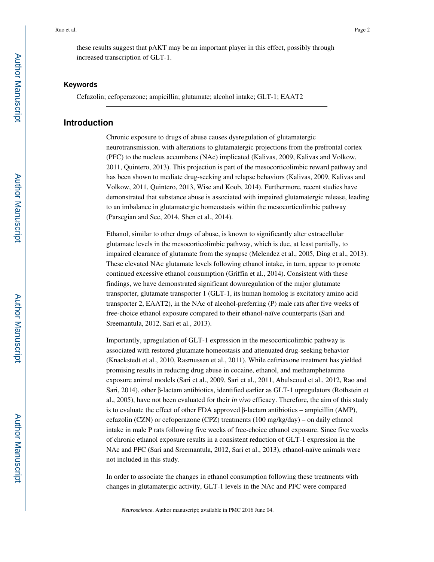these results suggest that pAKT may be an important player in this effect, possibly through increased transcription of GLT-1.

#### **Keywords**

Cefazolin; cefoperazone; ampicillin; glutamate; alcohol intake; GLT-1; EAAT2

## **Introduction**

Chronic exposure to drugs of abuse causes dysregulation of glutamatergic neurotransmission, with alterations to glutamatergic projections from the prefrontal cortex (PFC) to the nucleus accumbens (NAc) implicated (Kalivas, 2009, Kalivas and Volkow, 2011, Quintero, 2013). This projection is part of the mesocorticolimbic reward pathway and has been shown to mediate drug-seeking and relapse behaviors (Kalivas, 2009, Kalivas and Volkow, 2011, Quintero, 2013, Wise and Koob, 2014). Furthermore, recent studies have demonstrated that substance abuse is associated with impaired glutamatergic release, leading to an imbalance in glutamatergic homeostasis within the mesocorticolimbic pathway (Parsegian and See, 2014, Shen et al., 2014).

Ethanol, similar to other drugs of abuse, is known to significantly alter extracellular glutamate levels in the mesocorticolimbic pathway, which is due, at least partially, to impaired clearance of glutamate from the synapse (Melendez et al., 2005, Ding et al., 2013). These elevated NAc glutamate levels following ethanol intake, in turn, appear to promote continued excessive ethanol consumption (Griffin et al., 2014). Consistent with these findings, we have demonstrated significant downregulation of the major glutamate transporter, glutamate transporter 1 (GLT-1, its human homolog is excitatory amino acid transporter 2, EAAT2), in the NAc of alcohol-preferring (P) male rats after five weeks of free-choice ethanol exposure compared to their ethanol-naïve counterparts (Sari and Sreemantula, 2012, Sari et al., 2013).

Importantly, upregulation of GLT-1 expression in the mesocorticolimbic pathway is associated with restored glutamate homeostasis and attenuated drug-seeking behavior (Knackstedt et al., 2010, Rasmussen et al., 2011). While ceftriaxone treatment has yielded promising results in reducing drug abuse in cocaine, ethanol, and methamphetamine exposure animal models (Sari et al., 2009, Sari et al., 2011, Abulseoud et al., 2012, Rao and Sari, 2014), other β-lactam antibiotics, identified earlier as GLT-1 upregulators (Rothstein et al., 2005), have not been evaluated for their *in vivo* efficacy. Therefore, the aim of this study is to evaluate the effect of other FDA approved β-lactam antibiotics – ampicillin (AMP), cefazolin (CZN) or cefoperazone (CPZ) treatments (100 mg/kg/day) – on daily ethanol intake in male P rats following five weeks of free-choice ethanol exposure. Since five weeks of chronic ethanol exposure results in a consistent reduction of GLT-1 expression in the NAc and PFC (Sari and Sreemantula, 2012, Sari et al., 2013), ethanol-naïve animals were not included in this study.

In order to associate the changes in ethanol consumption following these treatments with changes in glutamatergic activity, GLT-1 levels in the NAc and PFC were compared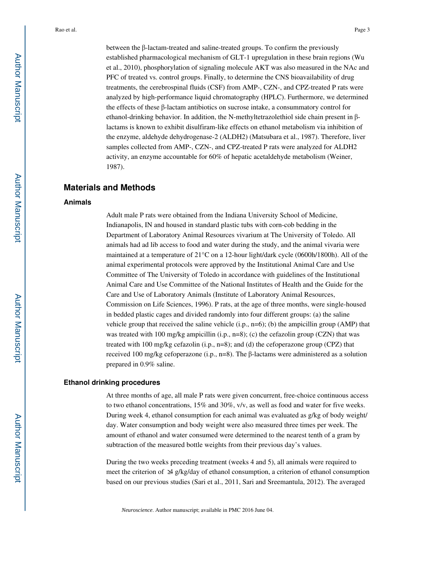between the β-lactam-treated and saline-treated groups. To confirm the previously established pharmacological mechanism of GLT-1 upregulation in these brain regions (Wu

et al., 2010), phosphorylation of signaling molecule AKT was also measured in the NAc and PFC of treated vs. control groups. Finally, to determine the CNS bioavailability of drug treatments, the cerebrospinal fluids (CSF) from AMP-, CZN-, and CPZ-treated P rats were analyzed by high-performance liquid chromatography (HPLC). Furthermore, we determined the effects of these β-lactam antibiotics on sucrose intake, a consummatory control for ethanol-drinking behavior. In addition, the N-methyltetrazolethiol side chain present in βlactams is known to exhibit disulfiram-like effects on ethanol metabolism via inhibition of the enzyme, aldehyde dehydrogenase-2 (ALDH2) (Matsubara et al., 1987). Therefore, liver samples collected from AMP-, CZN-, and CPZ-treated P rats were analyzed for ALDH2 activity, an enzyme accountable for 60% of hepatic acetaldehyde metabolism (Weiner, 1987).

## **Materials and Methods**

#### **Animals**

Adult male P rats were obtained from the Indiana University School of Medicine, Indianapolis, IN and housed in standard plastic tubs with corn-cob bedding in the Department of Laboratory Animal Resources vivarium at The University of Toledo. All animals had ad lib access to food and water during the study, and the animal vivaria were maintained at a temperature of  $21^{\circ}$ C on a 12-hour light/dark cycle (0600h/1800h). All of the animal experimental protocols were approved by the Institutional Animal Care and Use Committee of The University of Toledo in accordance with guidelines of the Institutional Animal Care and Use Committee of the National Institutes of Health and the Guide for the Care and Use of Laboratory Animals (Institute of Laboratory Animal Resources, Commission on Life Sciences, 1996). P rats, at the age of three months, were single-housed in bedded plastic cages and divided randomly into four different groups: (a) the saline vehicle group that received the saline vehicle  $(i.p., n=6)$ ; (b) the ampicillin group (AMP) that was treated with 100 mg/kg ampicillin (i.p.,  $n=8$ ); (c) the cefazolin group (CZN) that was treated with 100 mg/kg cefazolin (i.p., n=8); and (d) the cefoperazone group (CPZ) that received 100 mg/kg cefoperazone (i.p., n=8). The β-lactams were administered as a solution prepared in 0.9% saline.

## **Ethanol drinking procedures**

At three months of age, all male P rats were given concurrent, free-choice continuous access to two ethanol concentrations, 15% and 30%, v/v, as well as food and water for five weeks. During week 4, ethanol consumption for each animal was evaluated as g/kg of body weight/ day. Water consumption and body weight were also measured three times per week. The amount of ethanol and water consumed were determined to the nearest tenth of a gram by subtraction of the measured bottle weights from their previous day's values.

During the two weeks preceding treatment (weeks 4 and 5), all animals were required to meet the criterion of  $\triangleq$  g/kg/day of ethanol consumption, a criterion of ethanol consumption based on our previous studies (Sari et al., 2011, Sari and Sreemantula, 2012). The averaged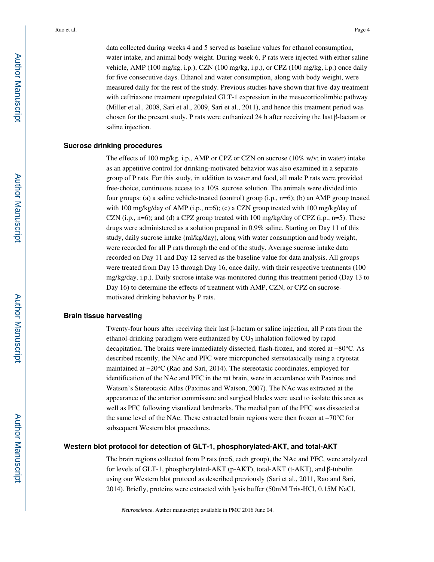data collected during weeks 4 and 5 served as baseline values for ethanol consumption, water intake, and animal body weight. During week 6, P rats were injected with either saline vehicle, AMP (100 mg/kg, i.p.), CZN (100 mg/kg, i.p.), or CPZ (100 mg/kg, i.p.) once daily for five consecutive days. Ethanol and water consumption, along with body weight, were measured daily for the rest of the study. Previous studies have shown that five-day treatment with ceftriaxone treatment upregulated GLT-1 expression in the mesocorticolimbic pathway (Miller et al., 2008, Sari et al., 2009, Sari et al., 2011), and hence this treatment period was chosen for the present study. P rats were euthanized 24 h after receiving the last β-lactam or saline injection.

#### **Sucrose drinking procedures**

The effects of 100 mg/kg, i.p., AMP or CPZ or CZN on sucrose  $(10\%$  w/v; in water) intake as an appetitive control for drinking-motivated behavior was also examined in a separate group of P rats. For this study, in addition to water and food, all male P rats were provided free-choice, continuous access to a 10% sucrose solution. The animals were divided into four groups: (a) a saline vehicle-treated (control) group (i.p., n=6); (b) an AMP group treated with 100 mg/kg/day of AMP (i.p., n=6); (c) a CZN group treated with 100 mg/kg/day of CZN (i.p., n=6); and (d) a CPZ group treated with 100 mg/kg/day of CPZ (i.p., n=5). These drugs were administered as a solution prepared in 0.9% saline. Starting on Day 11 of this study, daily sucrose intake (ml/kg/day), along with water consumption and body weight, were recorded for all P rats through the end of the study. Average sucrose intake data recorded on Day 11 and Day 12 served as the baseline value for data analysis. All groups were treated from Day 13 through Day 16, once daily, with their respective treatments (100 mg/kg/day, i.p.). Daily sucrose intake was monitored during this treatment period (Day 13 to Day 16) to determine the effects of treatment with AMP, CZN, or CPZ on sucrosemotivated drinking behavior by P rats.

#### **Brain tissue harvesting**

Twenty-four hours after receiving their last β-lactam or saline injection, all P rats from the ethanol-drinking paradigm were euthanized by  $CO<sub>2</sub>$  inhalation followed by rapid decapitation. The brains were immediately dissected, flash-frozen, and stored at −80°C. As described recently, the NAc and PFC were micropunched stereotaxically using a cryostat maintained at −20°C (Rao and Sari, 2014). The stereotaxic coordinates, employed for identification of the NAc and PFC in the rat brain, were in accordance with Paxinos and Watson's Stereotaxic Atlas (Paxinos and Watson, 2007). The NAc was extracted at the appearance of the anterior commissure and surgical blades were used to isolate this area as well as PFC following visualized landmarks. The medial part of the PFC was dissected at the same level of the NAc. These extracted brain regions were then frozen at −70°C for subsequent Western blot procedures.

## **Western blot protocol for detection of GLT-1, phosphorylated-AKT, and total-AKT**

The brain regions collected from P rats (n=6, each group), the NAc and PFC, were analyzed for levels of GLT-1, phosphorylated-AKT (p-AKT), total-AKT (t-AKT), and β-tubulin using our Western blot protocol as described previously (Sari et al., 2011, Rao and Sari, 2014). Briefly, proteins were extracted with lysis buffer (50mM Tris-HCl, 0.15M NaCl,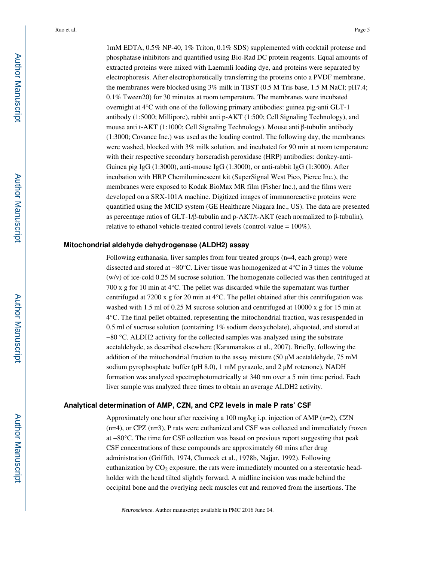1mM EDTA, 0.5% NP-40, 1% Triton, 0.1% SDS) supplemented with cocktail protease and phosphatase inhibitors and quantified using Bio-Rad DC protein reagents. Equal amounts of extracted proteins were mixed with Laemmli loading dye, and proteins were separated by electrophoresis. After electrophoretically transferring the proteins onto a PVDF membrane, the membranes were blocked using 3% milk in TBST (0.5 M Tris base, 1.5 M NaCl; pH7.4; 0.1% Tween20) for 30 minutes at room temperature. The membranes were incubated overnight at 4°C with one of the following primary antibodies: guinea pig-anti GLT-1 antibody (1:5000; Millipore), rabbit anti p-AKT (1:500; Cell Signaling Technology), and mouse anti t-AKT (1:1000; Cell Signaling Technology). Mouse anti β-tubulin antibody (1:3000; Covance Inc.) was used as the loading control. The following day, the membranes were washed, blocked with 3% milk solution, and incubated for 90 min at room temperature with their respective secondary horseradish peroxidase (HRP) antibodies: donkey-anti-Guinea pig IgG (1:3000), anti-mouse IgG (1:3000), or anti-rabbit IgG (1:3000). After incubation with HRP Chemiluminescent kit (SuperSignal West Pico, Pierce Inc.), the membranes were exposed to Kodak BioMax MR film (Fisher Inc.), and the films were developed on a SRX-101A machine. Digitized images of immunoreactive proteins were quantified using the MCID system (GE Healthcare Niagara Inc., US). The data are presented as percentage ratios of GLT-1/β-tubulin and p-AKT/t-AKT (each normalized to β-tubulin), relative to ethanol vehicle-treated control levels (control-value = 100%).

#### **Mitochondrial aldehyde dehydrogenase (ALDH2) assay**

Following euthanasia, liver samples from four treated groups (n=4, each group) were dissected and stored at −80°C. Liver tissue was homogenized at 4°C in 3 times the volume (w/v) of ice-cold 0.25 M sucrose solution. The homogenate collected was then centrifuged at 700 x g for 10 min at 4°C. The pellet was discarded while the supernatant was further centrifuged at 7200 x g for 20 min at  $4^{\circ}$ C. The pellet obtained after this centrifugation was washed with 1.5 ml of 0.25 M sucrose solution and centrifuged at 10000 x g for 15 min at 4°C. The final pellet obtained, representing the mitochondrial fraction, was resuspended in 0.5 ml of sucrose solution (containing 1% sodium deoxycholate), aliquoted, and stored at −80 °C. ALDH2 activity for the collected samples was analyzed using the substrate acetaldehyde, as described elsewhere (Karamanakos et al., 2007). Briefly, following the addition of the mitochondrial fraction to the assay mixture  $(50 \mu M$  acetaldehyde, 75 mM sodium pyrophosphate buffer (pH 8.0), 1 mM pyrazole, and 2  $\mu$ M rotenone), NADH formation was analyzed spectrophotometrically at 340 nm over a 5 min time period. Each liver sample was analyzed three times to obtain an average ALDH2 activity.

#### **Analytical determination of AMP, CZN, and CPZ levels in male P rats' CSF**

Approximately one hour after receiving a 100 mg/kg i.p. injection of AMP (n=2), CZN  $(n=4)$ , or CPZ  $(n=3)$ , P rats were euthanized and CSF was collected and immediately frozen at −80°C. The time for CSF collection was based on previous report suggesting that peak CSF concentrations of these compounds are approximately 60 mins after drug administration (Griffith, 1974, Clumeck et al., 1978b, Najjar, 1992). Following euthanization by  $CO<sub>2</sub>$  exposure, the rats were immediately mounted on a stereotaxic headholder with the head tilted slightly forward. A midline incision was made behind the occipital bone and the overlying neck muscles cut and removed from the insertions. The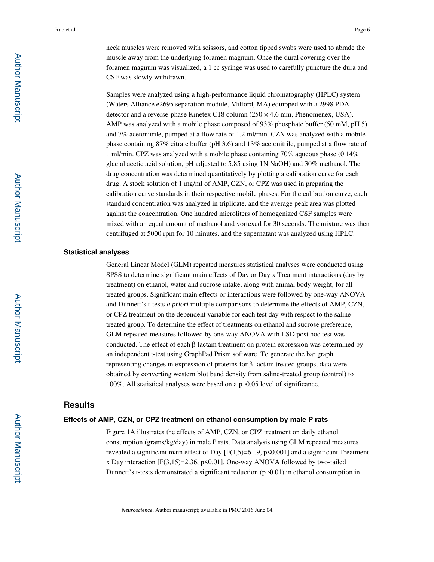neck muscles were removed with scissors, and cotton tipped swabs were used to abrade the muscle away from the underlying foramen magnum. Once the dural covering over the foramen magnum was visualized, a 1 cc syringe was used to carefully puncture the dura and CSF was slowly withdrawn.

Samples were analyzed using a high-performance liquid chromatography (HPLC) system (Waters Alliance e2695 separation module, Milford, MA) equipped with a 2998 PDA detector and a reverse-phase Kinetex C18 column  $(250 \times 4.6 \text{ mm}, \text{Phenomenex}, \text{USA})$ . AMP was analyzed with a mobile phase composed of 93% phosphate buffer (50 mM, pH 5) and 7% acetonitrile, pumped at a flow rate of 1.2 ml/min. CZN was analyzed with a mobile phase containing 87% citrate buffer (pH 3.6) and 13% acetonitrile, pumped at a flow rate of 1 ml/min. CPZ was analyzed with a mobile phase containing 70% aqueous phase (0.14% glacial acetic acid solution, pH adjusted to 5.85 using 1N NaOH) and 30% methanol. The drug concentration was determined quantitatively by plotting a calibration curve for each drug. A stock solution of 1 mg/ml of AMP, CZN, or CPZ was used in preparing the calibration curve standards in their respective mobile phases. For the calibration curve, each standard concentration was analyzed in triplicate, and the average peak area was plotted against the concentration. One hundred microliters of homogenized CSF samples were mixed with an equal amount of methanol and vortexed for 30 seconds. The mixture was then centrifuged at 5000 rpm for 10 minutes, and the supernatant was analyzed using HPLC.

#### **Statistical analyses**

General Linear Model (GLM) repeated measures statistical analyses were conducted using SPSS to determine significant main effects of Day or Day x Treatment interactions (day by treatment) on ethanol, water and sucrose intake, along with animal body weight, for all treated groups. Significant main effects or interactions were followed by one-way ANOVA and Dunnett's t-tests *a priori* multiple comparisons to determine the effects of AMP, CZN, or CPZ treatment on the dependent variable for each test day with respect to the salinetreated group. To determine the effect of treatments on ethanol and sucrose preference, GLM repeated measures followed by one-way ANOVA with LSD post hoc test was conducted. The effect of each β-lactam treatment on protein expression was determined by an independent t-test using GraphPad Prism software. To generate the bar graph representing changes in expression of proteins for β-lactam treated groups, data were obtained by converting western blot band density from saline-treated group (control) to 100%. All statistical analyses were based on a p≤0.05 level of significance.

## **Results**

#### **Effects of AMP, CZN, or CPZ treatment on ethanol consumption by male P rats**

Figure 1A illustrates the effects of AMP, CZN, or CPZ treatment on daily ethanol consumption (grams/kg/day) in male P rats. Data analysis using GLM repeated measures revealed a significant main effect of Day  $[F(1,5)=61.9, p<0.001]$  and a significant Treatment x Day interaction  $[F(3,15)=2.36, p<0.01]$ . One-way ANOVA followed by two-tailed Dunnett's t-tests demonstrated a significant reduction (p $\mathcal{L}(0.01)$ ) in ethanol consumption in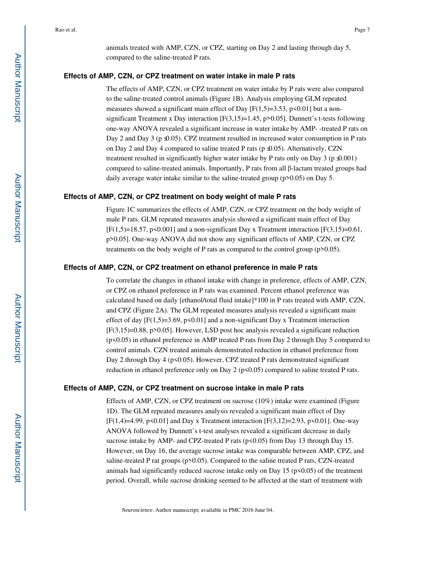animals treated with AMP, CZN, or CPZ, starting on Day 2 and lasting through day 5, compared to the saline-treated P rats.

#### **Effects of AMP, CZN, or CPZ treatment on water intake in male P rats**

The effects of AMP, CZN, or CPZ treatment on water intake by P rats were also compared to the saline-treated control animals (Figure 1B). Analysis employing GLM repeated measures showed a significant main effect of Day  $[F(1,5)=3.53, p<0.01]$  but a nonsignificant Treatment x Day interaction  $[F(3,15)=1.45, p>0.05]$ . Dunnett's t-tests following one-way ANOVA revealed a significant increase in water intake by AMP- -treated P rats on Day 2 and Day 3 (p  $\triangle$ 0.05). CPZ treatment resulted in increased water consumption in P rats on Day 2 and Day 4 compared to saline treated P rats (p ≤0.05). Alternatively, CZN treatment resulted in significantly higher water intake by P rats only on Day 3 (p $\triangle$ 0.001) compared to saline-treated animals. Importantly, P rats from all β-lactam treated groups had daily average water intake similar to the saline-treated group (p>0.05) on Day 5.

#### **Effects of AMP, CZN, or CPZ treatment on body weight of male P rats**

Figure 1C summarizes the effects of AMP, CZN, or CPZ treatment on the body weight of male P rats. GLM repeated measures analysis showed a significant main effect of Day  $[F(1,5)=18.57, p<0.001]$  and a non-significant Day x Treatment interaction  $[F(3,15)=0.61, p<sub>0.001</sub>]$ p>0.05]. One-way ANOVA did not show any significant effects of AMP, CZN, or CPZ treatments on the body weight of P rats as compared to the control group (p>0.05).

#### **Effects of AMP, CZN, or CPZ treatment on ethanol preference in male P rats**

To correlate the changes in ethanol intake with change in preference, effects of AMP, CZN, or CPZ on ethanol preference in P rats was examined. Percent ethanol preference was calculated based on daily [ethanol/total fluid intake]\*100 in P rats treated with AMP, CZN, and CPZ (Figure 2A). The GLM repeated measures analysis revealed a significant main effect of day  $[F(1,5)=3.69, p\le 0.01]$  and a non-significant Day x Treatment interaction  $[F(3,15)=0.88, p>0.05]$ . However, LSD post hoc analysis revealed a significant reduction (p<0.05) in ethanol preference in AMP treated P rats from Day 2 through Day 5 compared to control animals. CZN treated animals demonstrated reduction in ethanol preference from Day 2 through Day 4 ( $p$ <0.05). However, CPZ treated P rats demonstrated significant reduction in ethanol preference only on Day 2 (p<0.05) compared to saline treated P rats.

#### **Effects of AMP, CZN, or CPZ treatment on sucrose intake in male P rats**

Effects of AMP, CZN, or CPZ treatment on sucrose (10%) intake were examined (Figure 1D). The GLM repeated measures analysis revealed a significant main effect of Day [F(1,4)=4.99, p<0.01] and Day x Treatment interaction [F(3,12)=2.93, p<0.01]. One-way ANOVA followed by Dunnett's t-test analyses revealed a significant decrease in daily sucrose intake by AMP- and CPZ-treated P rats (p<0.05) from Day 13 through Day 15. However, on Day 16, the average sucrose intake was comparable between AMP, CPZ, and saline-treated P rat groups (p>0.05). Compared to the saline treated P rats, CZN-treated animals had significantly reduced sucrose intake only on Day  $15$  ( $p<0.05$ ) of the treatment period. Overall, while sucrose drinking seemed to be affected at the start of treatment with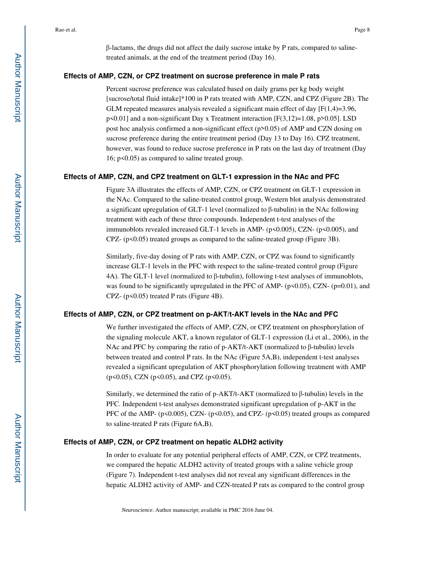β-lactams, the drugs did not affect the daily sucrose intake by P rats, compared to salinetreated animals, at the end of the treatment period (Day 16).

#### **Effects of AMP, CZN, or CPZ treatment on sucrose preference in male P rats**

Percent sucrose preference was calculated based on daily grams per kg body weight [sucrose/total fluid intake]\*100 in P rats treated with AMP, CZN, and CPZ (Figure 2B). The GLM repeated measures analysis revealed a significant main effect of day  $[F(1,4)=3.96,$ p<0.01] and a non-significant Day x Treatment interaction [F(3,12)=1.08, p>0.05]. LSD post hoc analysis confirmed a non-significant effect (p>0.05) of AMP and CZN dosing on sucrose preference during the entire treatment period (Day 13 to Day 16). CPZ treatment, however, was found to reduce sucrose preference in P rats on the last day of treatment (Day 16; p<0.05) as compared to saline treated group.

#### **Effects of AMP, CZN, and CPZ treatment on GLT-1 expression in the NAc and PFC**

Figure 3A illustrates the effects of AMP, CZN, or CPZ treatment on GLT-1 expression in the NAc. Compared to the saline-treated control group, Western blot analysis demonstrated a significant upregulation of GLT-1 level (normalized to β-tubulin) in the NAc following treatment with each of these three compounds. Independent t-test analyses of the immunoblots revealed increased GLT-1 levels in AMP- (p<0.005), CZN- (p<0.005), and  $CPZ- (p<0.05)$  treated groups as compared to the saline-treated group (Figure 3B).

Similarly, five-day dosing of P rats with AMP, CZN, or CPZ was found to significantly increase GLT-1 levels in the PFC with respect to the saline-treated control group (Figure 4A). The GLT-1 level (normalized to β-tubulin), following t-test analyses of immunoblots, was found to be significantly upregulated in the PFC of AMP- ( $p<0.05$ ), CZN- ( $p=0.01$ ), and CPZ-  $(p<0.05)$  treated P rats (Figure 4B).

#### **Effects of AMP, CZN, or CPZ treatment on p-AKT/t-AKT levels in the NAc and PFC**

We further investigated the effects of AMP, CZN, or CPZ treatment on phosphorylation of the signaling molecule AKT, a known regulator of GLT-1 expression (Li et al., 2006), in the NAc and PFC by comparing the ratio of p-AKT/t-AKT (normalized to β-tubulin) levels between treated and control P rats. In the NAc (Figure 5A,B), independent t-test analyses revealed a significant upregulation of AKT phosphorylation following treatment with AMP (p<0.05), CZN (p<0.05), and CPZ (p<0.05).

Similarly, we determined the ratio of p-AKT/t-AKT (normalized to β-tubulin) levels in the PFC. Independent t-test analyses demonstrated significant upregulation of p-AKT in the PFC of the AMP- (p<0.005), CZN- (p<0.05), and CPZ- (p<0.05) treated groups as compared to saline-treated P rats (Figure 6A,B).

#### **Effects of AMP, CZN, or CPZ treatment on hepatic ALDH2 activity**

In order to evaluate for any potential peripheral effects of AMP, CZN, or CPZ treatments, we compared the hepatic ALDH2 activity of treated groups with a saline vehicle group (Figure 7). Independent t-test analyses did not reveal any significant differences in the hepatic ALDH2 activity of AMP- and CZN-treated P rats as compared to the control group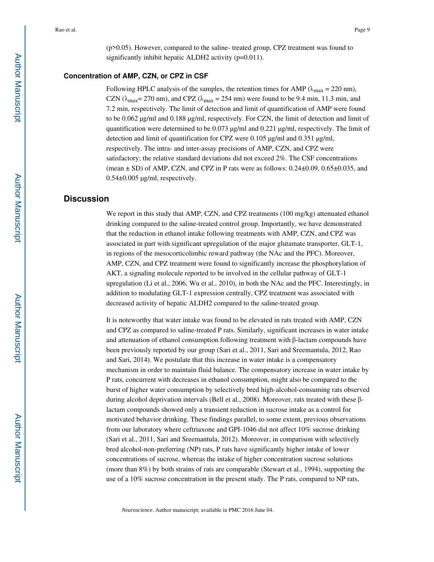(p>0.05). However, compared to the saline- treated group, CPZ treatment was found to significantly inhibit hepatic ALDH2 activity (p=0.011).

#### **Concentration of AMP, CZN, or CPZ in CSF**

Following HPLC analysis of the samples, the retention times for AMP ( $\lambda_{\text{max}} = 220 \text{ nm}$ ), CZN ( $\lambda_{\text{max}}$  = 270 nm), and CPZ ( $\lambda_{\text{max}}$  = 254 nm) were found to be 9.4 min, 11.3 min, and 7.2 min, respectively. The limit of detection and limit of quantification of AMP were found to be 0.062 µg/ml and 0.188 µg/ml, respectively. For CZN, the limit of detection and limit of quantification were determined to be 0.073 µg/ml and 0.221 µg/ml, respectively. The limit of detection and limit of quantification for CPZ were  $0.105 \mu g/ml$  and  $0.351 \mu g/ml$ , respectively. The intra- and inter-assay precisions of AMP, CZN, and CPZ were satisfactory; the relative standard deviations did not exceed 2%. The CSF concentrations (mean  $\pm$  SD) of AMP, CZN, and CPZ in P rats were as follows:  $0.24\pm0.09$ ,  $0.65\pm0.035$ , and  $0.54\pm0.005$  µg/ml, respectively.

## **Discussion**

We report in this study that AMP, CZN, and CPZ treatments (100 mg/kg) attenuated ethanol drinking compared to the saline-treated control group. Importantly, we have demonstrated that the reduction in ethanol intake following treatments with AMP, CZN, and CPZ was associated in part with significant upregulation of the major glutamate transporter, GLT-1, in regions of the mesocorticolimbic reward pathway (the NAc and the PFC). Moreover, AMP, CZN, and CPZ treatment were found to significantly increase the phosphorylation of AKT, a signaling molecule reported to be involved in the cellular pathway of GLT-1 upregulation (Li et al., 2006, Wu et al., 2010), in both the NAc and the PFC. Interestingly, in addition to modulating GLT-1 expression centrally, CPZ treatment was associated with decreased activity of hepatic ALDH2 compared to the saline-treated group.

It is noteworthy that water intake was found to be elevated in rats treated with AMP, CZN and CPZ as compared to saline-treated P rats. Similarly, significant increases in water intake and attenuation of ethanol consumption following treatment with  $\beta$ -lactam compounds have been previously reported by our group (Sari et al., 2011, Sari and Sreemantula, 2012, Rao and Sari, 2014). We postulate that this increase in water intake is a compensatory mechanism in order to maintain fluid balance. The compensatory increase in water intake by P rats, concurrent with decreases in ethanol consumption, might also be compared to the burst of higher water consumption by selectively bred high-alcohol-consuming rats observed during alcohol deprivation intervals (Bell et al., 2008). Moreover, rats treated with these βlactam compounds showed only a transient reduction in sucrose intake as a control for motivated behavior drinking. These findings parallel, to some extent, previous observations from our laboratory where ceftriaxone and GPI-1046 did not affect 10% sucrose drinking (Sari et al., 2011, Sari and Sreemantula, 2012). Moreover, in comparison with selectively bred alcohol-non-preferring (NP) rats, P rats have significantly higher intake of lower concentrations of sucrose, whereas the intake of higher concentration sucrose solutions (more than 8%) by both strains of rats are comparable (Stewart et al., 1994), supporting the use of a 10% sucrose concentration in the present study. The P rats, compared to NP rats,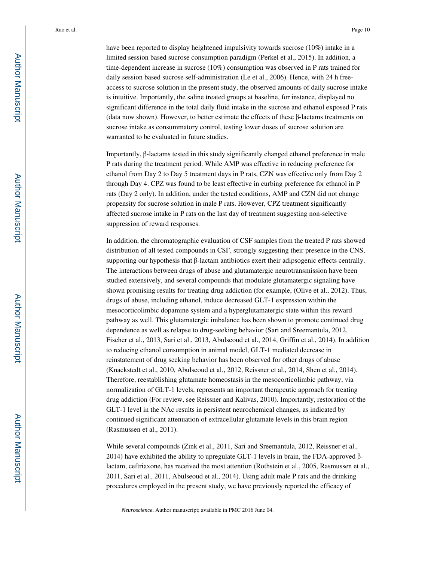have been reported to display heightened impulsivity towards sucrose (10%) intake in a limited session based sucrose consumption paradigm (Perkel et al., 2015). In addition, a time-dependent increase in sucrose (10%) consumption was observed in P rats trained for daily session based sucrose self-administration (Le et al., 2006). Hence, with 24 h freeaccess to sucrose solution in the present study, the observed amounts of daily sucrose intake is intuitive. Importantly, the saline treated groups at baseline, for instance, displayed no significant difference in the total daily fluid intake in the sucrose and ethanol exposed P rats (data now shown). However, to better estimate the effects of these β-lactams treatments on sucrose intake as consummatory control, testing lower doses of sucrose solution are warranted to be evaluated in future studies.

Importantly, β-lactams tested in this study significantly changed ethanol preference in male P rats during the treatment period. While AMP was effective in reducing preference for ethanol from Day 2 to Day 5 treatment days in P rats, CZN was effective only from Day 2 through Day 4. CPZ was found to be least effective in curbing preference for ethanol in P rats (Day 2 only). In addition, under the tested conditions, AMP and CZN did not change propensity for sucrose solution in male P rats. However, CPZ treatment significantly affected sucrose intake in P rats on the last day of treatment suggesting non-selective suppression of reward responses.

In addition, the chromatographic evaluation of CSF samples from the treated P rats showed distribution of all tested compounds in CSF, strongly suggesting their presence in the CNS, supporting our hypothesis that β-lactam antibiotics exert their adipsogenic effects centrally. The interactions between drugs of abuse and glutamatergic neurotransmission have been studied extensively, and several compounds that modulate glutamatergic signaling have shown promising results for treating drug addiction (for example, (Olive et al., 2012). Thus, drugs of abuse, including ethanol, induce decreased GLT-1 expression within the mesocorticolimbic dopamine system and a hyperglutamatergic state within this reward pathway as well. This glutamatergic imbalance has been shown to promote continued drug dependence as well as relapse to drug-seeking behavior (Sari and Sreemantula, 2012, Fischer et al., 2013, Sari et al., 2013, Abulseoud et al., 2014, Griffin et al., 2014). In addition to reducing ethanol consumption in animal model, GLT-1 mediated decrease in reinstatement of drug seeking behavior has been observed for other drugs of abuse (Knackstedt et al., 2010, Abulseoud et al., 2012, Reissner et al., 2014, Shen et al., 2014). Therefore, reestablishing glutamate homeostasis in the mesocorticolimbic pathway, via normalization of GLT-1 levels, represents an important therapeutic approach for treating drug addiction (For review, see Reissner and Kalivas, 2010). Importantly, restoration of the GLT-1 level in the NAc results in persistent neurochemical changes, as indicated by continued significant attenuation of extracellular glutamate levels in this brain region (Rasmussen et al., 2011).

While several compounds (Zink et al., 2011, Sari and Sreemantula, 2012, Reissner et al., 2014) have exhibited the ability to upregulate GLT-1 levels in brain, the FDA-approved βlactam, ceftriaxone, has received the most attention (Rothstein et al., 2005, Rasmussen et al., 2011, Sari et al., 2011, Abulseoud et al., 2014). Using adult male P rats and the drinking procedures employed in the present study, we have previously reported the efficacy of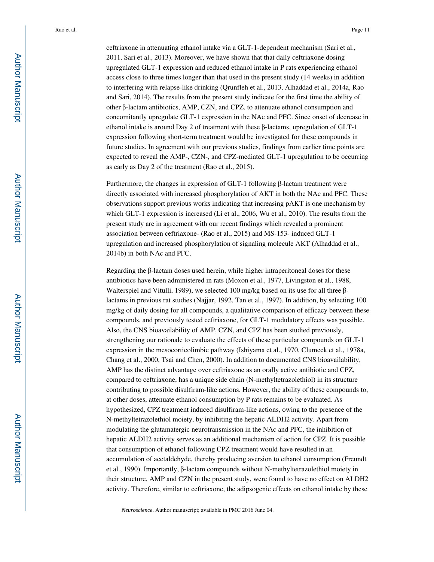ceftriaxone in attenuating ethanol intake via a GLT-1-dependent mechanism (Sari et al., 2011, Sari et al., 2013). Moreover, we have shown that that daily ceftriaxone dosing upregulated GLT-1 expression and reduced ethanol intake in P rats experiencing ethanol access close to three times longer than that used in the present study (14 weeks) in addition to interfering with relapse-like drinking (Qrunfleh et al., 2013, Alhaddad et al., 2014a, Rao and Sari, 2014). The results from the present study indicate for the first time the ability of other β-lactam antibiotics, AMP, CZN, and CPZ, to attenuate ethanol consumption and concomitantly upregulate GLT-1 expression in the NAc and PFC. Since onset of decrease in ethanol intake is around Day 2 of treatment with these β-lactams, upregulation of GLT-1 expression following short-term treatment would be investigated for these compounds in future studies. In agreement with our previous studies, findings from earlier time points are expected to reveal the AMP-, CZN-, and CPZ-mediated GLT-1 upregulation to be occurring as early as Day 2 of the treatment (Rao et al., 2015).

Furthermore, the changes in expression of GLT-1 following β-lactam treatment were directly associated with increased phosphorylation of AKT in both the NAc and PFC. These observations support previous works indicating that increasing pAKT is one mechanism by which GLT-1 expression is increased (Li et al., 2006, Wu et al., 2010). The results from the present study are in agreement with our recent findings which revealed a prominent association between ceftriaxone- (Rao et al., 2015) and MS-153- induced GLT-1 upregulation and increased phosphorylation of signaling molecule AKT (Alhaddad et al., 2014b) in both NAc and PFC.

Regarding the  $\beta$ -lactam doses used herein, while higher intraperitoneal doses for these antibiotics have been administered in rats (Moxon et al., 1977, Livingston et al., 1988, Walterspiel and Vitulli, 1989), we selected 100 mg/kg based on its use for all three βlactams in previous rat studies (Najjar, 1992, Tan et al., 1997). In addition, by selecting 100 mg/kg of daily dosing for all compounds, a qualitative comparison of efficacy between these compounds, and previously tested ceftriaxone, for GLT-1 modulatory effects was possible. Also, the CNS bioavailability of AMP, CZN, and CPZ has been studied previously, strengthening our rationale to evaluate the effects of these particular compounds on GLT-1 expression in the mesocorticolimbic pathway (Ishiyama et al., 1970, Clumeck et al., 1978a, Chang et al., 2000, Tsai and Chen, 2000). In addition to documented CNS bioavailability, AMP has the distinct advantage over ceftriaxone as an orally active antibiotic and CPZ, compared to ceftriaxone, has a unique side chain (N-methyltetrazolethiol) in its structure contributing to possible disulfiram-like actions. However, the ability of these compounds to, at other doses, attenuate ethanol consumption by P rats remains to be evaluated. As hypothesized, CPZ treatment induced disulfiram-like actions, owing to the presence of the N-methyltetrazolethiol moiety, by inhibiting the hepatic ALDH2 activity. Apart from modulating the glutamatergic neurotransmission in the NAc and PFC, the inhibition of hepatic ALDH2 activity serves as an additional mechanism of action for CPZ. It is possible that consumption of ethanol following CPZ treatment would have resulted in an accumulation of acetaldehyde, thereby producing aversion to ethanol consumption (Freundt et al., 1990). Importantly, β-lactam compounds without N-methyltetrazolethiol moiety in their structure, AMP and CZN in the present study, were found to have no effect on ALDH2 activity. Therefore, similar to ceftriaxone, the adipsogenic effects on ethanol intake by these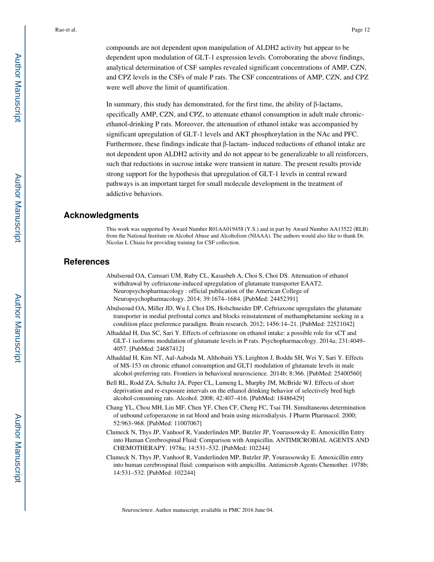compounds are not dependent upon manipulation of ALDH2 activity but appear to be dependent upon modulation of GLT-1 expression levels. Corroborating the above findings, analytical determination of CSF samples revealed significant concentrations of AMP, CZN, and CPZ levels in the CSFs of male P rats. The CSF concentrations of AMP, CZN, and CPZ were well above the limit of quantification.

In summary, this study has demonstrated, for the first time, the ability of  $\beta$ -lactams, specifically AMP, CZN, and CPZ, to attenuate ethanol consumption in adult male chronicethanol-drinking P rats. Moreover, the attenuation of ethanol intake was accompanied by significant upregulation of GLT-1 levels and AKT phosphorylation in the NAc and PFC. Furthermore, these findings indicate that β-lactam- induced reductions of ethanol intake are not dependent upon ALDH2 activity and do not appear to be generalizable to all reinforcers, such that reductions in sucrose intake were transient in nature. The present results provide strong support for the hypothesis that upregulation of GLT-1 levels in central reward pathways is an important target for small molecule development in the treatment of addictive behaviors.

## **Acknowledgments**

This work was supported by Award Number R01AA019458 (Y.S.) and in part by Award Number AA13522 (RLB) from the National Institute on Alcohol Abuse and Alcoholism (NIAAA). The authors would also like to thank Dr. Nicolas L Chiaia for providing training for CSF collection.

## **References**

- Abulseoud OA, Camsari UM, Ruby CL, Kasasbeh A, Choi S, Choi DS. Attenuation of ethanol withdrawal by ceftriaxone-induced upregulation of glutamate transporter EAAT2. Neuropsychopharmacology : official publication of the American College of Neuropsychopharmacology. 2014; 39:1674–1684. [PubMed: 24452391]
- Abulseoud OA, Miller JD, Wu J, Choi DS, Holschneider DP. Ceftriaxone upregulates the glutamate transporter in medial prefrontal cortex and blocks reinstatement of methamphetamine seeking in a condition place preference paradigm. Brain research. 2012; 1456:14–21. [PubMed: 22521042]
- Alhaddad H, Das SC, Sari Y. Effects of ceftriaxone on ethanol intake: a possible role for xCT and GLT-1 isoforms modulation of glutamate levels in P rats. Psychopharmacology. 2014a; 231:4049– 4057. [PubMed: 24687412]
- Alhaddad H, Kim NT, Aal-Aaboda M, Althobaiti YS, Leighton J, Boddu SH, Wei Y, Sari Y. Effects of MS-153 on chronic ethanol consumption and GLT1 modulation of glutamate levels in male alcohol-preferring rats. Frontiers in behavioral neuroscience. 2014b; 8:366. [PubMed: 25400560]
- Bell RL, Rodd ZA, Schultz JA, Peper CL, Lumeng L, Murphy JM, McBride WJ. Effects of short deprivation and re-exposure intervals on the ethanol drinking behavior of selectively bred high alcohol-consuming rats. Alcohol. 2008; 42:407–416. [PubMed: 18486429]
- Chang YL, Chou MH, Lin MF, Chen YF, Chen CF, Cheng FC, Tsai TH. Simultaneous determination of unbound cefoperazone in rat blood and brain using microdialysis. J Pharm Pharmacol. 2000; 52:963–968. [PubMed: 11007067]
- Clumeck N, Thys JP, Vanhoof R, Vanderlinden MP, Butzler JP, Yourassowsky E. Amoxicillin Entry into Human Cerebrospinal Fluid: Comparison with Ampicillin. ANTIMICROBIAL AGENTS AND CHEMOTHERAPY. 1978a; 14:531–532. [PubMed: 102244]
- Clumeck N, Thys JP, Vanhoof R, Vanderlinden MP, Butzler JP, Yourassowsky E. Amoxicillin entry into human cerebrospinal fluid: comparison with ampicillin. Antimicrob Agents Chemother. 1978b; 14:531–532. [PubMed: 102244]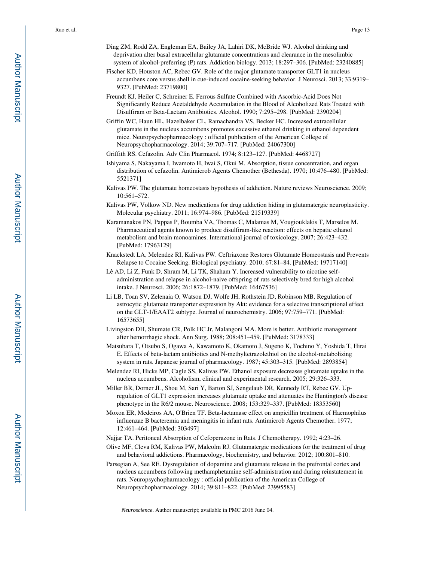- Ding ZM, Rodd ZA, Engleman EA, Bailey JA, Lahiri DK, McBride WJ. Alcohol drinking and deprivation alter basal extracellular glutamate concentrations and clearance in the mesolimbic system of alcohol-preferring (P) rats. Addiction biology. 2013; 18:297–306. [PubMed: 23240885]
- Fischer KD, Houston AC, Rebec GV. Role of the major glutamate transporter GLT1 in nucleus accumbens core versus shell in cue-induced cocaine-seeking behavior. J Neurosci. 2013; 33:9319– 9327. [PubMed: 23719800]
- Freundt KJ, Heiler C, Schreiner E. Ferrous Sulfate Combined with Ascorbic-Acid Does Not Significantly Reduce Acetaldehyde Accumulation in the Blood of Alcoholized Rats Treated with Disulfiram or Beta-Lactam Antibiotics. Alcohol. 1990; 7:295–298. [PubMed: 2390204]
- Griffin WC, Haun HL, Hazelbaker CL, Ramachandra VS, Becker HC. Increased extracellular glutamate in the nucleus accumbens promotes excessive ethanol drinking in ethanol dependent mice. Neuropsychopharmacology : official publication of the American College of Neuropsychopharmacology. 2014; 39:707–717. [PubMed: 24067300]
- Griffith RS. Cefazolin. Adv Clin Pharmacol. 1974; 8:123–127. [PubMed: 4468727]
- Ishiyama S, Nakayama I, Iwamoto H, Iwai S, Okui M. Absorption, tissue concentration, and organ distribution of cefazolin. Antimicrob Agents Chemother (Bethesda). 1970; 10:476–480. [PubMed: 5521371]
- Kalivas PW. The glutamate homeostasis hypothesis of addiction. Nature reviews Neuroscience. 2009; 10:561–572.
- Kalivas PW, Volkow ND. New medications for drug addiction hiding in glutamatergic neuroplasticity. Molecular psychiatry. 2011; 16:974–986. [PubMed: 21519339]
- Karamanakos PN, Pappas P, Boumba VA, Thomas C, Malamas M, Vougiouklakis T, Marselos M. Pharmaceutical agents known to produce disulfiram-like reaction: effects on hepatic ethanol metabolism and brain monoamines. International journal of toxicology. 2007; 26:423–432. [PubMed: 17963129]
- Knackstedt LA, Melendez RI, Kalivas PW. Ceftriaxone Restores Glutamate Homeostasis and Prevents Relapse to Cocaine Seeking. Biological psychiatry. 2010; 67:81–84. [PubMed: 19717140]
- Lê AD, Li Z, Funk D, Shram M, Li TK, Shaham Y. Increased vulnerability to nicotine selfadministration and relapse in alcohol-naive offspring of rats selectively bred for high alcohol intake. J Neurosci. 2006; 26:1872–1879. [PubMed: 16467536]
- Li LB, Toan SV, Zelenaia O, Watson DJ, Wolfe JH, Rothstein JD, Robinson MB. Regulation of astrocytic glutamate transporter expression by Akt: evidence for a selective transcriptional effect on the GLT-1/EAAT2 subtype. Journal of neurochemistry. 2006; 97:759–771. [PubMed: 16573655]
- Livingston DH, Shumate CR, Polk HC Jr, Malangoni MA. More is better. Antibiotic management after hemorrhagic shock. Ann Surg. 1988; 208:451–459. [PubMed: 3178333]
- Matsubara T, Otsubo S, Ogawa A, Kawamoto K, Okamoto J, Sugeno K, Tochino Y, Yoshida T, Hirai E. Effects of beta-lactam antibiotics and N-methyltetrazolethiol on the alcohol-metabolizing system in rats. Japanese journal of pharmacology. 1987; 45:303–315. [PubMed: 2893854]
- Melendez RI, Hicks MP, Cagle SS, Kalivas PW. Ethanol exposure decreases glutamate uptake in the nucleus accumbens. Alcoholism, clinical and experimental research. 2005; 29:326–333.
- Miller BR, Dorner JL, Shou M, Sari Y, Barton SJ, Sengelaub DR, Kennedy RT, Rebec GV. Upregulation of GLT1 expression increases glutamate uptake and attenuates the Huntington's disease phenotype in the R6/2 mouse. Neuroscience. 2008; 153:329–337. [PubMed: 18353560]
- Moxon ER, Medeiros AA, O'Brien TF. Beta-lactamase effect on ampicillin treatment of Haemophilus influenzae B bacteremia and meningitis in infant rats. Antimicrob Agents Chemother. 1977; 12:461–464. [PubMed: 303497]
- Najjar TA. Peritoneal Absorption of Cefoperazone in Rats. J Chemotherapy. 1992; 4:23–26.
- Olive MF, Cleva RM, Kalivas PW, Malcolm RJ. Glutamatergic medications for the treatment of drug and behavioral addictions. Pharmacology, biochemistry, and behavior. 2012; 100:801–810.
- Parsegian A, See RE. Dysregulation of dopamine and glutamate release in the prefrontal cortex and nucleus accumbens following methamphetamine self-administration and during reinstatement in rats. Neuropsychopharmacology : official publication of the American College of Neuropsychopharmacology. 2014; 39:811–822. [PubMed: 23995583]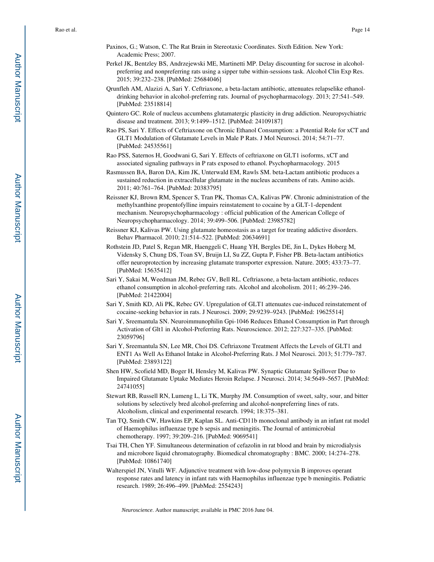- Paxinos, G.; Watson, C. The Rat Brain in Stereotaxic Coordinates. Sixth Edition. New York: Academic Press; 2007.
- Perkel JK, Bentzley BS, Andrzejewski ME, Martinetti MP. Delay discounting for sucrose in alcoholpreferring and nonpreferring rats using a sipper tube within-sessions task. Alcohol Clin Exp Res. 2015; 39:232–238. [PubMed: 25684046]
- Qrunfleh AM, Alazizi A, Sari Y. Ceftriaxone, a beta-lactam antibiotic, attenuates relapselike ethanoldrinking behavior in alcohol-preferring rats. Journal of psychopharmacology. 2013; 27:541–549. [PubMed: 23518814]
- Quintero GC. Role of nucleus accumbens glutamatergic plasticity in drug addiction. Neuropsychiatric disease and treatment. 2013; 9:1499–1512. [PubMed: 24109187]
- Rao PS, Sari Y. Effects of Ceftriaxone on Chronic Ethanol Consumption: a Potential Role for xCT and GLT1 Modulation of Glutamate Levels in Male P Rats. J Mol Neurosci. 2014; 54:71–77. [PubMed: 24535561]
- Rao PSS, Saternos H, Goodwani G, Sari Y. Effects of ceftriaxone on GLT1 isoforms, xCT and associated signaling pathways in P rats exposed to ethanol. Psychopharmacology. 2015
- Rasmussen BA, Baron DA, Kim JK, Unterwald EM, Rawls SM. beta-Lactam antibiotic produces a sustained reduction in extracellular glutamate in the nucleus accumbens of rats. Amino acids. 2011; 40:761–764. [PubMed: 20383795]
- Reissner KJ, Brown RM, Spencer S, Tran PK, Thomas CA, Kalivas PW. Chronic administration of the methylxanthine propentofylline impairs reinstatement to cocaine by a GLT-1-dependent mechanism. Neuropsychopharmacology : official publication of the American College of Neuropsychopharmacology. 2014; 39:499–506. [PubMed: 23985782]
- Reissner KJ, Kalivas PW. Using glutamate homeostasis as a target for treating addictive disorders. Behav Pharmacol. 2010; 21:514–522. [PubMed: 20634691]
- Rothstein JD, Patel S, Regan MR, Haenggeli C, Huang YH, Bergles DE, Jin L, Dykes Hoberg M, Vidensky S, Chung DS, Toan SV, Bruijn LI, Su ZZ, Gupta P, Fisher PB. Beta-lactam antibiotics offer neuroprotection by increasing glutamate transporter expression. Nature. 2005; 433:73–77. [PubMed: 15635412]
- Sari Y, Sakai M, Weedman JM, Rebec GV, Bell RL. Ceftriaxone, a beta-lactam antibiotic, reduces ethanol consumption in alcohol-preferring rats. Alcohol and alcoholism. 2011; 46:239–246. [PubMed: 21422004]
- Sari Y, Smith KD, Ali PK, Rebec GV. Upregulation of GLT1 attenuates cue-induced reinstatement of cocaine-seeking behavior in rats. J Neurosci. 2009; 29:9239–9243. [PubMed: 19625514]
- Sari Y, Sreemantula SN. Neuroimmunophilin Gpi-1046 Reduces Ethanol Consumption in Part through Activation of Glt1 in Alcohol-Preferring Rats. Neuroscience. 2012; 227:327–335. [PubMed: 23059796]
- Sari Y, Sreemantula SN, Lee MR, Choi DS. Ceftriaxone Treatment Affects the Levels of GLT1 and ENT1 As Well As Ethanol Intake in Alcohol-Preferring Rats. J Mol Neurosci. 2013; 51:779–787. [PubMed: 23893122]
- Shen HW, Scofield MD, Boger H, Hensley M, Kalivas PW. Synaptic Glutamate Spillover Due to Impaired Glutamate Uptake Mediates Heroin Relapse. J Neurosci. 2014; 34:5649–5657. [PubMed: 24741055]
- Stewart RB, Russell RN, Lumeng L, Li TK, Murphy JM. Consumption of sweet, salty, sour, and bitter solutions by selectively bred alcohol-preferring and alcohol-nonpreferring lines of rats. Alcoholism, clinical and experimental research. 1994; 18:375–381.
- Tan TQ, Smith CW, Hawkins EP, Kaplan SL. Anti-CD11b monoclonal antibody in an infant rat model of Haemophilus influenzae type b sepsis and meningitis. The Journal of antimicrobial chemotherapy. 1997; 39:209–216. [PubMed: 9069541]
- Tsai TH, Chen YF. Simultaneous determination of cefazolin in rat blood and brain by microdialysis and microbore liquid chromatography. Biomedical chromatography : BMC. 2000; 14:274–278. [PubMed: 10861740]
- Walterspiel JN, Vitulli WF. Adjunctive treatment with low-dose polymyxin B improves operant response rates and latency in infant rats with Haemophilus influenzae type b meningitis. Pediatric research. 1989; 26:496–499. [PubMed: 2554243]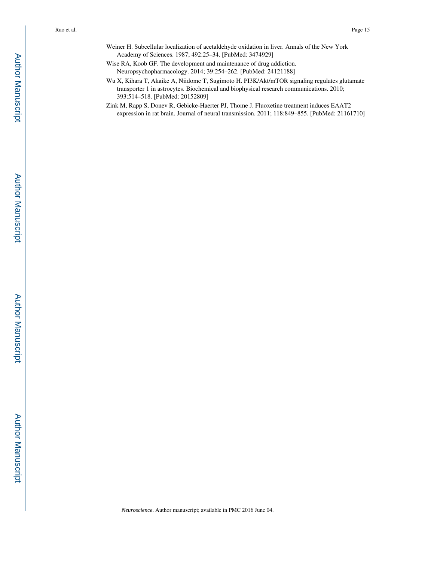- Weiner H. Subcellular localization of acetaldehyde oxidation in liver. Annals of the New York Academy of Sciences. 1987; 492:25–34. [PubMed: 3474929]
- Wise RA, Koob GF. The development and maintenance of drug addiction. Neuropsychopharmacology. 2014; 39:254–262. [PubMed: 24121188]
- Wu X, Kihara T, Akaike A, Niidome T, Sugimoto H. PI3K/Akt/mTOR signaling regulates glutamate transporter 1 in astrocytes. Biochemical and biophysical research communications. 2010; 393:514–518. [PubMed: 20152809]
- Zink M, Rapp S, Donev R, Gebicke-Haerter PJ, Thome J. Fluoxetine treatment induces EAAT2 expression in rat brain. Journal of neural transmission. 2011; 118:849–855. [PubMed: 21161710]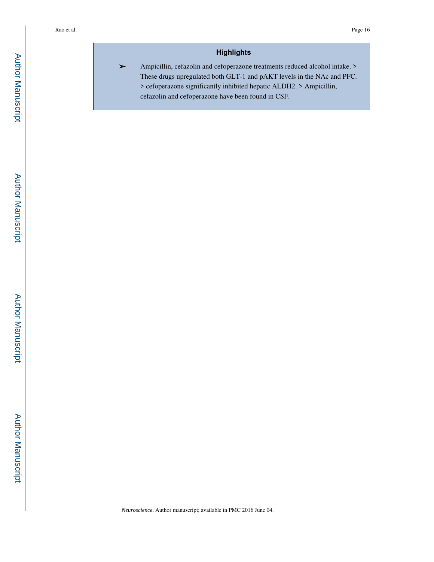## **Highlights**

➢ Ampicillin, cefazolin and cefoperazone treatments reduced alcohol intake. > These drugs upregulated both GLT-1 and pAKT levels in the NAc and PFC. > cefoperazone significantly inhibited hepatic ALDH2. > Ampicillin, cefazolin and cefoperazone have been found in CSF.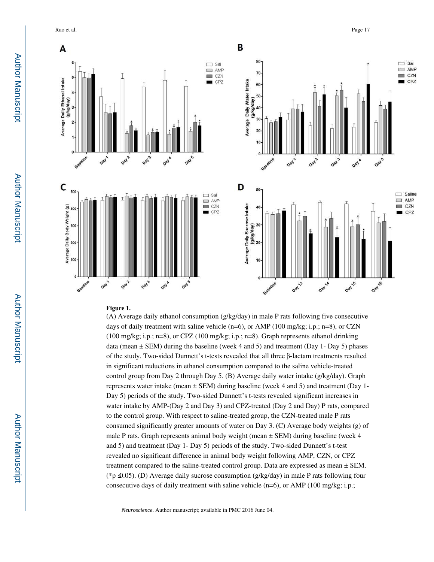Rao et al. Page 17



#### **Figure 1.**

(A) Average daily ethanol consumption (g/kg/day) in male P rats following five consecutive days of daily treatment with saline vehicle  $(n=6)$ , or AMP (100 mg/kg; i.p.; n=8), or CZN (100 mg/kg; i.p.; n=8), or CPZ (100 mg/kg; i.p.; n=8). Graph represents ethanol drinking data (mean  $\pm$  SEM) during the baseline (week 4 and 5) and treatment (Day 1- Day 5) phases of the study. Two-sided Dunnett's t-tests revealed that all three β-lactam treatments resulted in significant reductions in ethanol consumption compared to the saline vehicle-treated control group from Day 2 through Day 5. (B) Average daily water intake (g/kg/day). Graph represents water intake (mean ± SEM) during baseline (week 4 and 5) and treatment (Day 1- Day 5) periods of the study. Two-sided Dunnett's t-tests revealed significant increases in water intake by AMP-(Day 2 and Day 3) and CPZ-treated (Day 2 and Day) P rats, compared to the control group. With respect to saline-treated group, the CZN-treated male P rats consumed significantly greater amounts of water on Day 3. (C) Average body weights (g) of male P rats. Graph represents animal body weight (mean ± SEM) during baseline (week 4 and 5) and treatment (Day 1- Day 5) periods of the study. Two-sided Dunnett's t-test revealed no significant difference in animal body weight following AMP, CZN, or CPZ treatment compared to the saline-treated control group. Data are expressed as mean ± SEM. (\*p≤0.05). (D) Average daily sucrose consumption (g/kg/day) in male P rats following four consecutive days of daily treatment with saline vehicle  $(n=6)$ , or AMP (100 mg/kg; i.p.;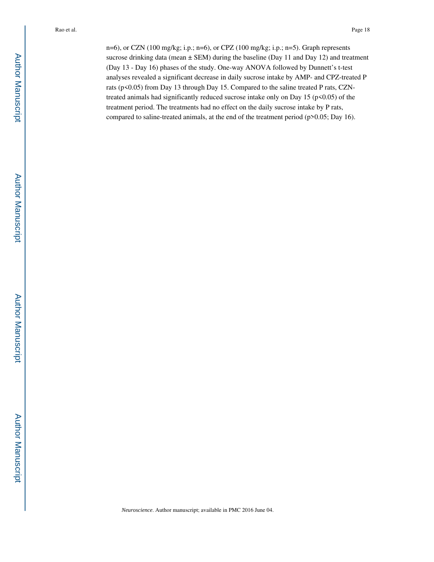n=6), or CZN (100 mg/kg; i.p.; n=6), or CPZ (100 mg/kg; i.p.; n=5). Graph represents sucrose drinking data (mean  $\pm$  SEM) during the baseline (Day 11 and Day 12) and treatment (Day 13 - Day 16) phases of the study. One-way ANOVA followed by Dunnett's t-test analyses revealed a significant decrease in daily sucrose intake by AMP- and CPZ-treated P rats (p<0.05) from Day 13 through Day 15. Compared to the saline treated P rats, CZNtreated animals had significantly reduced sucrose intake only on Day 15 ( $p$ <0.05) of the treatment period. The treatments had no effect on the daily sucrose intake by P rats, compared to saline-treated animals, at the end of the treatment period (p>0.05; Day 16).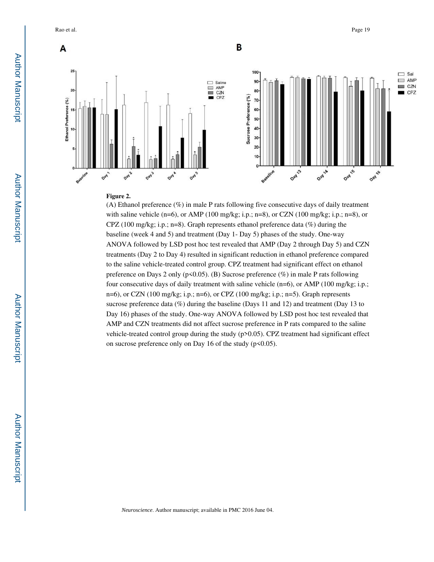Rao et al. Page 19



#### **Figure 2.**

(A) Ethanol preference (%) in male P rats following five consecutive days of daily treatment with saline vehicle (n=6), or AMP (100 mg/kg; i.p.; n=8), or CZN (100 mg/kg; i.p.; n=8), or CPZ (100 mg/kg; i.p.; n=8). Graph represents ethanol preference data (%) during the baseline (week 4 and 5) and treatment (Day 1- Day 5) phases of the study. One-way ANOVA followed by LSD post hoc test revealed that AMP (Day 2 through Day 5) and CZN treatments (Day 2 to Day 4) resulted in significant reduction in ethanol preference compared to the saline vehicle-treated control group. CPZ treatment had significant effect on ethanol preference on Days 2 only ( $p<0.05$ ). (B) Sucrose preference (%) in male P rats following four consecutive days of daily treatment with saline vehicle (n=6), or AMP (100 mg/kg; i.p.; n=6), or CZN (100 mg/kg; i.p.; n=6), or CPZ (100 mg/kg; i.p.; n=5). Graph represents sucrose preference data (%) during the baseline (Days 11 and 12) and treatment (Day 13 to Day 16) phases of the study. One-way ANOVA followed by LSD post hoc test revealed that AMP and CZN treatments did not affect sucrose preference in P rats compared to the saline vehicle-treated control group during the study  $(p>0.05)$ . CPZ treatment had significant effect on sucrose preference only on Day 16 of the study ( $p<0.05$ ).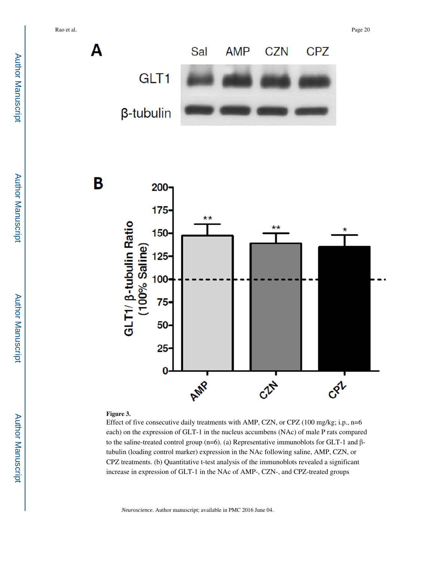

B



## **Figure 3.**

Effect of five consecutive daily treatments with AMP, CZN, or CPZ (100 mg/kg; i.p., n=6 each) on the expression of GLT-1 in the nucleus accumbens (NAc) of male P rats compared to the saline-treated control group (n=6). (a) Representative immunoblots for GLT-1 and βtubulin (loading control marker) expression in the NAc following saline, AMP, CZN, or CPZ treatments. (b) Quantitative t-test analysis of the immunoblots revealed a significant increase in expression of GLT-1 in the NAc of AMP-, CZN-, and CPZ-treated groups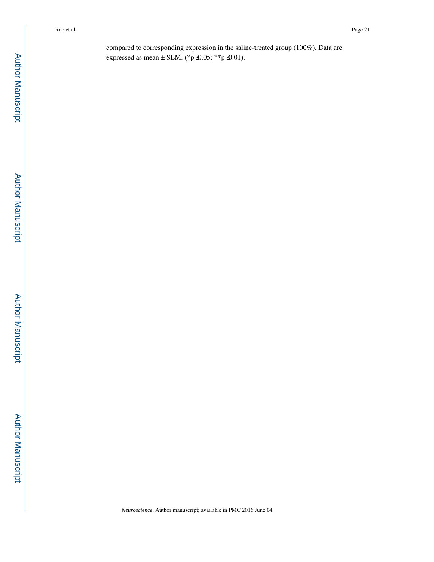compared to corresponding expression in the saline-treated group (100%). Data are expressed as mean  $\pm$  SEM. (\*p  $\trianglelefteq$ 0.05; \*\*p  $\trianglelefteq$ 0.01).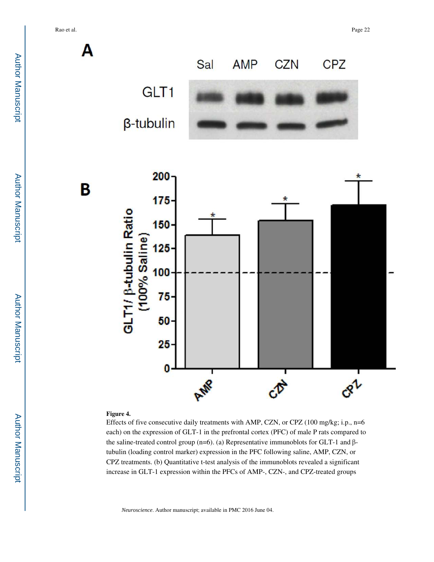Rao et al. Page 22



## **Figure 4.**

Effects of five consecutive daily treatments with AMP, CZN, or CPZ (100 mg/kg; i.p., n=6 each) on the expression of GLT-1 in the prefrontal cortex (PFC) of male P rats compared to the saline-treated control group (n=6). (a) Representative immunoblots for GLT-1 and βtubulin (loading control marker) expression in the PFC following saline, AMP, CZN, or CPZ treatments. (b) Quantitative t-test analysis of the immunoblots revealed a significant increase in GLT-1 expression within the PFCs of AMP-, CZN-, and CPZ-treated groups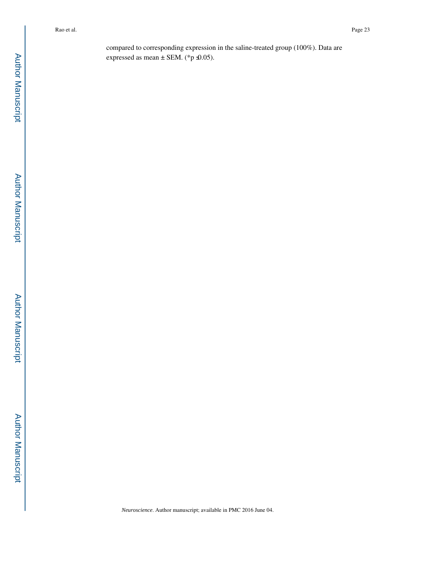compared to corresponding expression in the saline-treated group (100%). Data are expressed as mean  $\pm$  SEM. (\*p  $\triangleleft$ 0.05).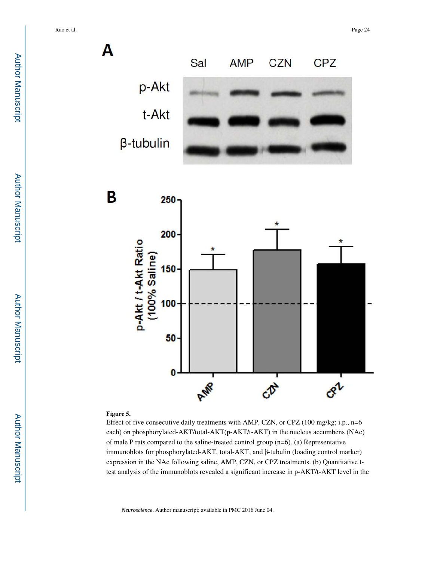

#### **Figure 5.**

Effect of five consecutive daily treatments with AMP, CZN, or CPZ (100 mg/kg; i.p., n=6 each) on phosphorylated-AKT/total-AKT(p-AKT/t-AKT) in the nucleus accumbens (NAc) of male P rats compared to the saline-treated control group (n=6). (a) Representative immunoblots for phosphorylated-AKT, total-AKT, and β-tubulin (loading control marker) expression in the NAc following saline, AMP, CZN, or CPZ treatments. (b) Quantitative ttest analysis of the immunoblots revealed a significant increase in p-AKT/t-AKT level in the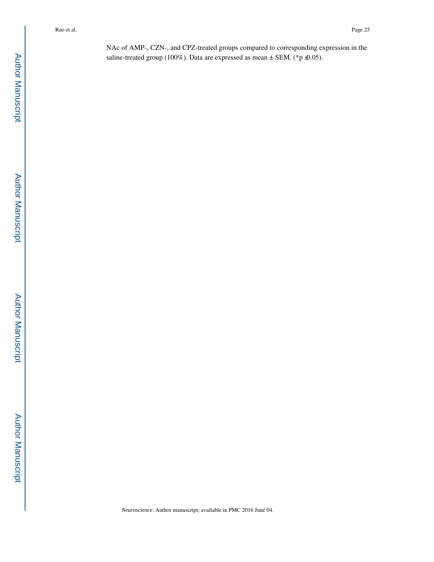NAc of AMP-, CZN-, and CPZ-treated groups compared to corresponding expression in the saline-treated group (100%). Data are expressed as mean  $\pm$  SEM. (\*p  $\triangleleft$ 0.05).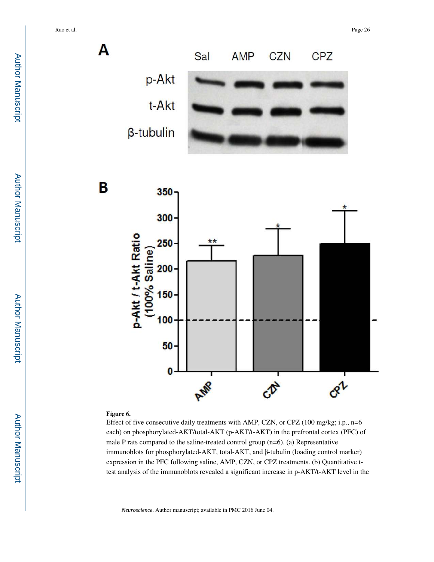orl



#### **Figure 6.**

50

0

Effect of five consecutive daily treatments with AMP, CZN, or CPZ (100 mg/kg; i.p., n=6 each) on phosphorylated-AKT/total-AKT (p-AKT/t-AKT) in the prefrontal cortex (PFC) of male P rats compared to the saline-treated control group (n=6). (a) Representative immunoblots for phosphorylated-AKT, total-AKT, and β-tubulin (loading control marker) expression in the PFC following saline, AMP, CZN, or CPZ treatments. (b) Quantitative ttest analysis of the immunoblots revealed a significant increase in p-AKT/t-AKT level in the

*Neuroscience*. Author manuscript; available in PMC 2016 June 04.

AWR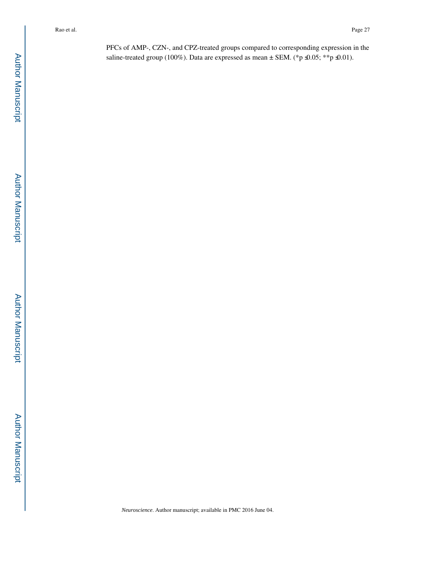PFCs of AMP-, CZN-, and CPZ-treated groups compared to corresponding expression in the saline-treated group (100%). Data are expressed as mean  $\pm$  SEM. (\*p  $\trianglelefteq$ 0.05; \*\*p  $\trianglelefteq$ 0.01).